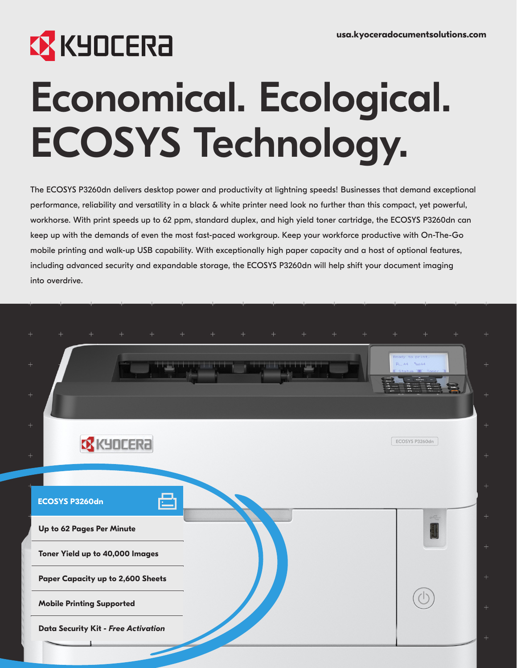## **EX KYOCERA**

# Economical. Ecological. ECOSYS Technology.

The ECOSYS P3260dn delivers desktop power and productivity at lightning speeds! Businesses that demand exceptional performance, reliability and versatility in a black & white printer need look no further than this compact, yet powerful, workhorse. With print speeds up to 62 ppm, standard duplex, and high yield toner cartridge, the ECOSYS P3260dn can keep up with the demands of even the most fast-paced workgroup. Keep your workforce productive with On-The-Go mobile printing and walk-up USB capability. With exceptionally high paper capacity and a host of optional features, including advanced security and expandable storage, the ECOSYS P3260dn will help shift your document imaging into overdrive.